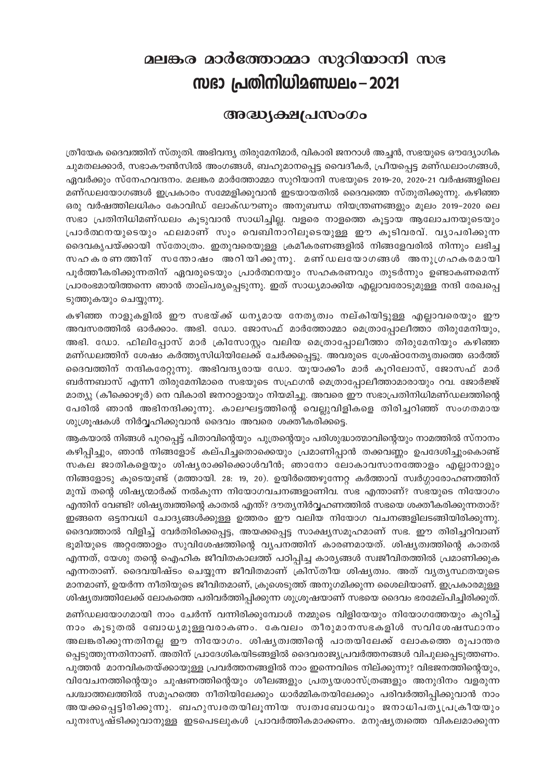## മലങ്കര മാർത്തോമ്മാ സുറിയാനി സഭ സഭാ പ്രതിനിധിമണ്ഡലം – 2021

## അദ്ധ്യക്ഷപ്രസംഗം

ത്രീയേക ദൈവത്തിന് സ്തുതി. അഭിവന്ദ്യ തിരുമേനിമാർ, വികാരി ജനറാൾ അച്ചൻ, സഭയുടെ ഔദ്യോഗിക ചുമതലക്കാർ, സഭാകൗൺസിൽ അംഗങ്ങൾ, ബഹുമാനപ്പെട്ട വൈദീകർ, പ്രീയപ്പെട്ട മണ്ഡലാംഗങ്ങൾ, ഏവർക്കും സ്നേഹവന്ദനം. മലങ്കര മാർത്തോമ്മാ സുറിയാനി സഭയുടെ 2019-20, 2020-21 വർഷങ്ങളിലെ മണ്ഡലയോഗങ്ങൾ ഇപ്രകാരം സമ്മേളിക്കുവാൻ ഇടയായതിൽ ദൈവത്തെ സ്തുതിക്കുന്നു. കഴിഞ്ഞ ഒരു വർഷത്തിലധികം കോവിഡ് ലോക്ഡൗണും അനുബന്ധ നിയന്ത്രണങ്ങളും മൂലം 2019–2020 ലെ സഭാ പ്രതിനിധിമണ്ഡലം കുടുവാൻ സാധിച്ചില്ല. വളരെ നാളത്തെ കുട്ടായ ആലോചനയുടെയും പ്രാർത്ഥനയുടെയും ഫലമാണ് സൂം വെബിനാറിലൂടെയുള്ള ഈ കൂടിവരവ്. വ്യാപരിക്കുന്ന ദൈവകൃപയ്ക്കായി സ്തോത്രം. ഇതുവരെയുള്ള ക്രമീകരണങ്ങളിൽ നിങ്ങളേവരിൽ നിന്നും ലഭിച്ച സഹകരണത്തിന് സന്തോഷം അറിയിക്കുന്നു. മണ്ഡലയോഗങ്ങൾ അനുഗ്രഹകരമായി പൂർത്തീകരിക്കുന്നതിന് ഏവരുടെയും പ്രാർത്ഥനയും സഹകരണവും തുടർന്നും ഉണ്ടാകണമെന്ന് പ്രാരംഭമായിത്തന്നെ ഞാൻ താല്പര്യപ്പെടുന്നു. ഇത് സാധ്യമാക്കിയ എല്ലാവരോടുമുള്ള നന്ദി രേഖപ്പെ ടുത്തുകയും ചെയ്യുന്നു.

കഴിഞ്ഞ നാളുകളിൽ ഈ സഭയ്ക്ക് ധന്യമായ നേതൃത്വം നല്കിയിട്ടുള്ള എല്ലാവരെയും ഈ അവസരത്തിൽ ഓർക്കാം. അഭി. ഡോ. ജോസഫ് മാർത്തോമ്മാ മെത്രാപ്പോലീത്താ തിരുമേനിയും, അഭി. ഡോ. ഫിലിപ്പോസ് മാർ ക്രിസോസ്റ്റം വലിയ മെത്രാപ്പോലീത്താ തിരുമേനിയും കഴിഞ്ഞ മണ്ഡലത്തിന് ശേഷം കർത്തൃസിധിയിലേക്ക് ചേർക്കപ്പെട്ടു. അവരുടെ ശ്രേഷ്ഠനേതൃത്വത്തെ ഓർത്ത് ദൈവത്തിന് നന്ദികരേറ്റുന്നു. അഭിവന്ദ്യരായ ഡോ. യൂയാക്കീം മാർ കൂറിലോസ്, ജോസഫ് മാർ ബർന്നബാസ് എന്നീ തിരുമേനിമാരെ സഭയുടെ സഫ്രഗൻ മെത്രാപ്പോലീത്താമാരായും റവ. ജോർജ്ജ് മാത്യു (കീക്കൊഴൂർ) നെ വികാരി ജനറാളായും നിയമിച്ചു. അവരെ ഈ സഭാപ്രതിനിധിമണ്ഡലത്തിന്റെ പേരിൽ ഞാൻ അഭിനന്ദിക്കുന്നു. കാലഘട്ടത്തിന്റെ വെല്ലുവിളികളെ തിരിച്ചറിഞ്ഞ് സംഗതമായ ശുശ്രുഷകൾ നിർവ്വഹിക്കുവാൻ ദൈവം അവരെ ശക്തീകരിക്കട്ടെ.

ആകയാൽ നിങ്ങൾ പുറപ്പെട്ട് പിതാവിന്റെയും പുത്രന്റെയും പരിശുദ്ധാത്മാവിന്റെയും നാമത്തിൽ സ്നാനം കഴിപ്പിച്ചും, ഞാൻ നിങ്ങളോട് കല്പിച്ചതൊക്കെയും പ്രമാണിപ്പാൻ തക്കവണ്ണം ഉപദേശിച്ചുംകൊണ്ട<mark>്</mark> സകല ജാതികളെയും ശിഷ്യരാക്കിക്കൊൾവീൻ; ഞാനോ ലോകാവസാനത്തോളം എല്ലാനാളും നിങ്ങളോടു കൂടെയുണ്ട് (മത്തായി. 28: 19, 20). ഉയിർത്തെഴുന്നേറ്റ കർത്താവ് സ്വർഗ്ഗാരോഹണത്തിന് മുമ്പ് തന്റെ ശിഷ്യന്മാർക്ക് നൽകുന്ന നിയോഗവചനങ്ങളാണിവ. സഭ എന്താണ്? സഭയുടെ നിയോഗം എന്തിന് വേണ്ടി? ശിഷ്യത്വത്തിന്റെ കാതൽ എന്ത്? ദൗത്യനിർവ്വഹണത്തിൽ സഭയെ ശക്തീകരിക്കുന്നതാര്? ഇങ്ങനെ ഒട്ടനവധി ചോദ്യങ്ങൾക്കുള്ള ഉത്തരം ഈ വലിയ നിയോഗ വചനങ്ങളിലടങ്ങിയിരിക്കുന്നു. ദൈവത്താൽ വിളിച്ച് വേർതിരിക്കപ്പെട്ട, അയക്കപ്പെട്ട സാക്ഷ്യസമൂഹമാണ് സഭ. ഈ തിരിച്ചറിവാണ് ഭൂമിയുടെ അറ്റത്തോളം സുവിശേഷത്തിന്റെ വ്യപനത്തിന് കാരണമായത്. ശിഷ്യത്വത്തിന്റെ കാതൽ എന്നത്, യേശു തന്റെ ഐഹിക ജീവിതകാലത്ത് പഠിപ്പിച്ച കാര്യങ്ങൾ സ്വജീവിതത്തിൽ പ്രമാണിക്കുക എന്നതാണ്. ദൈവയിഷ്ടം ചെയ്യുന്ന ജീവിതമാണ് ക്രിസ്തീയ ശിഷ്യത്വം. അത് വൃതൃസ്ഥതയുടെ മാനമാണ്, ഉയർന്ന നീതിയുടെ ജീവിതമാണ്, ക്രുശെടുത്ത് അനുഗമിക്കുന്ന ശൈലിയാണ്. ഇപ്രകാരമുള്ള ശിഷ്യത്വത്തിലേക്ക് ലോകത്തെ പരിവർത്തിപ്പിക്കുന്ന ശുശ്രൂഷയാണ് സഭയെ ദൈവം ഭരമേല്പിച്ചിരിക്കുത്.

മണ്ഡലയോഗമായി നാം ചേർന്ന് വന്നിരിക്കുമ്പോൾ നമ്മുടെ വിളിയേയും നിയോഗത്തേയും കുറിച്ച് നാം കുടുതൽ ബോധ്യമുള്ളവരാകണം. കേവലം തീരുമാനസഭകളിൾ സവിശേഷസ്ഥാനം അലങ്കരിക്കുന്നതിനല്ല ഈ നിയോഗം. ശിഷ്യത്വത്തിന്റെ പാതയിലേക്ക് ലോകത്തെ രൂപാന്തര പ്പെടുത്തുന്നതിനാണ്. അതിന് പ്രാദേശികയിടങ്ങളിൽ ദൈവരാജ്യപ്രവർത്തനങ്ങൾ വിപുലപ്പെടുത്തണം. പുത്തൻ മാനവികതയ്ക്കായുള്ള പ്രവർത്തനങ്ങളിൽ നാം ഇന്നെവിടെ നില്ക്കുന്നു? വിഭജനത്തിന്റെയും, വിവേചനത്തിന്റെയും ചുഷണത്തിന്റെയും ശീലങ്ങളും പ്രത്യയശാസ്ത്രങ്ങളും അനുദിനം വളരുന്ന പശ്ചാത്തലത്തിൽ സമൂഹത്തെ നീതിയിലേക്കും ധാർമ്മികതയിലേക്കും പരിവർത്തിപ്പിക്കുവാൻ നാം അയക്കപ്പെട്ടിരിക്കുന്നു. ബഹുസ്വരതയിലൂന്നിയ സ്വത്വബോധവും ജനാധിപതൃപ്രക്രീയയും പുനഃസൃഷ്ടിക്കുവാനുള്ള ഇടപെടലുകൾ പ്രാവർത്തികമാക്കണം. മനുഷ്യത്വത്തെ വികലമാക്കുന്ന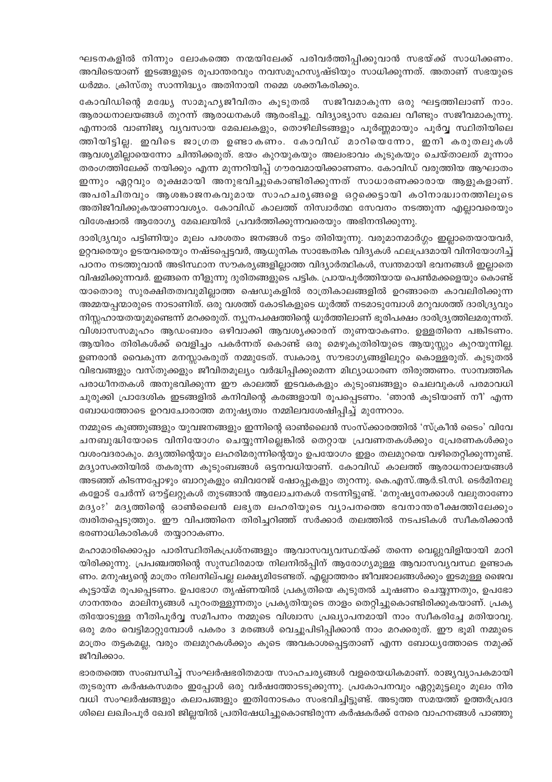ഘടനകളിൽ നിന്നും ലോകത്തെ നന്മയിലേക്ക് പരിവർത്തിപ്പിക്കുവാൻ സഭയ്ക്ക് സാധിക്കണം. അവിടെയാണ് ഇടങ്ങളുടെ രൂപാന്തരവും നവസമൂഹസൃഷ്ടിയും സാധിക്കുന്നത്. അതാണ് സഭയുടെ ധർമ്മം. ക്രിസ്തു സാന്നിദ്ധ്യം അതിനായി നമ്മെ ശക്തീകരിക്കും.

കോവിഡിന്റെ മദ്ധ്യേ സാമൂഹ്യജീവിതം കൂടുതൽ സജീവമാകുന്ന ഒരു ഘട്ടത്തിലാണ് നാം. ആരാധനാലയങ്ങൾ തുറന്ന് ആരാധനകൾ ആരംഭിച്ചു. വിദ്യാഭ്യാസ മേഖല വീണ്ടും സജീവമാകുന്നു. എന്നാൽ വാണിജ്യ വ്യവസായ മേഖലകളും, തൊഴിലിടങ്ങളും പൂർണ്ണമായും പൂർവ്വ സ്ഥിതിയിലെ ത്തിയിട്ടില്ല. ഇവിടെ ജാഗ്രത ഉണ്ടാകണം. കോവിഡ് മാറിയെന്നോ, ഇനി കരുതലുകൾ ആവശ്യമില്ലായെന്നോ ചിന്തിക്കരുത്. ഭയം കുറയുകയും അലംഭാവം കൂടുകയും ചെയ്താലത് മൂന്നാം തരംഗത്തിലേക്ക് നയിക്കും എന്ന മുന്നറിയിപ്പ് ഗൗരവമായിക്കാണണം. കോവിഡ് വരുത്തിയ ആഘാതം ഇന്നും ഏറ്റവും രൂക്ഷമായി അനുഭവിച്ചുകൊണ്ടിരിക്കുന്നത് സാധാരണക്കാരായ ആളുകളാണ്. അപരിചിതവും ആശങ്കാജനകവുമായ സാഹചര്യങ്ങളെ ഒറ്റക്കെട്ടായി കഠിനാദ്ധ്വാനത്തിലൂടെ അതിജീവിക്കുകയാണാവശ്യം. കോവിഡ് കാലത്ത് നിസ്വാർത്ഥ സേവനം നടത്തുന്ന എല്ലാവരെയും വിശേഷാൽ ആരോഗ്യ മേഖലയിൽ പ്രവർത്തിക്കുന്നവരെയും അഭിനന്ദിക്കുന്നു.

ദാരിദ്ര്യവും പട്ടിണിയും മൂലം പരശതം ജനങ്ങൾ നട്ടം തിരിയുന്നു. വരുമാനമാർഗ്ഗം ഇല്ലാതെയായവർ, ഉറ്റവരെയും ഉടയവരെയും നഷ്ടപ്പെട്ടവർ, ആധുനിക സാങ്കേതിക വിദൃകൾ ഫലപ്രദമായി വിനിയോഗിച്ച് പഠനം നടത്തുവാൻ അടിസ്ഥാന സൗകര്യങ്ങളില്ലാത്ത വിദ്യാർത്ഥികൾ, സ്വന്തമായി ഭവനങ്ങൾ ഇല്ലാതെ വിഷമിക്കുന്നവർ. ഇങ്ങനെ നീളുന്നു ദുരിതങ്ങളുടെ പട്ടിക. പ്രായപൂർത്തിയായ പെൺമക്കളെയും കൊണ്ട് യാതൊരു സുരക്ഷിതത്വവുമില്ലാത്ത ഷെഡുകളിൽ രാത്രികാലങ്ങളിൽ ഉറങ്ങാതെ കാവലിരിക്കുന്ന അമ്മയപ്പന്മാരുടെ നാടാണിത്. ഒരു വശത്ത് കോടികളുടെ ധൂർത്ത് നടമാടുമ്പോൾ മറുവശത്ത് ദാരിദ്ര്യവും നിസ്സഹായതയുമുണ്ടെന്ന് മറക്കരുത്. ന്യൂനപക്ഷത്തിന്റെ ധൂർത്തിലാണ് ഭൂരിപക്ഷം ദാരിദ്ര്യത്തിലമരുന്നത്. വിശ്വാസസമൂഹം ആഡംബരം ഒഴിവാക്കി ആവശ്യക്കാരന് തുണയാകണം. ഉള്ളതിനെ പങ്കിടണം. ആയിരം തിരികൾക്ക് വെളിച്ചം പകർന്നത് കൊണ്ട് ഒരു മെഴുകുതിരിയുടെ ആയുസ്സും കുറയുന്നില്ല. ഉണരാൻ വൈകുന്ന മനസ്സാകരുത് നമ്മുടേത്. സ്വകാര്യ സൗഭാഗ്യങ്ങളിലൂറ്റം കൊള്ളരുത്. കുടുതൽ വിഭവങ്ങളും വസ്തുക്കളും ജീവിതമൂല്യം വർദ്ധിപ്പിക്കുമെന്ന മിഥ്യാധാരണ തിരുത്തണം. സാമ്പത്തിക പരാധീനതകൾ അനുഭവിക്കുന്ന ഈ കാലത്ത് ഇടവകകളും കുടുംബങ്ങളും ചെലവുകൾ പരമാവധി ചുരുക്കി പ്രാദേശിക ഇടങ്ങളിൽ കനിവിന്റെ കരങ്ങളായി രൂപപ്പെടണം. 'ഞാൻ കൂടിയാണ് നീ' എന്ന ബോധത്തോടെ ഉറവചോരാത്ത മനുഷ്യത്വം നമ്മിലവശേഷിപ്പിച്ച് മുന്നേറാം.

നമ്മുടെ കുഞ്ഞുങ്ങളും യുവജനങ്ങളും ഇന്നിന്റെ ഓൺലൈൻ സംസ്ക്കാരത്തിൽ 'സ്ക്രീൻ ടൈം' വിവേ ചനബുദ്ധിയോടെ വിനിയോഗം ചെയ്യുന്നില്ലെങ്കിൽ തെറ്റായ പ്രവണതകൾക്കും പ്രേരണകൾക്കും വശംവദരാകും. മദ്യത്തിന്റെയും ലഹരിമരുന്നിന്റെയും ഉപയോഗം ഇളം തലമുറയെ വഴിതെറ്റിക്കുന്നുണ്ട്. മദ്യാസക്തിയിൽ തകരുന്ന കുടുംബങ്ങൾ ഒട്ടനവധിയാണ്. കോവിഡ് കാലത്ത് ആരാധനാലയങ്ങൾ അടഞ്ഞ് കിടന്നപ്പോഴും ബാറുകളും ബിവറേജ് ഷോപ്പുകളും തുറന്നു. കെ.എസ്.ആർ.ടി.സി. ടെർമിനലു കളോട് ചേർന്ന് ഔട്ട്ലറ്റുകൾ തുടങ്ങാൻ ആലോചനകൾ നടന്നിട്ടുണ്ട്. 'മനുഷ്യനേക്കാൾ വലുതാണോ മദ്യം?' മദ്യത്തിന്റെ ഓൺലൈൻ ലഭ്യത ലഹരിയുടെ വ്യാപനത്തെ ഭവനാന്തരീക്ഷത്തിലേക്കും ത്വരിതപ്പെടുത്തും. ഈ വിപത്തിനെ തിരിച്ചറിഞ്ഞ് സർക്കാർ തലത്തിൽ നടപടികൾ സ്വീകരിക്കാൻ ഭരണാധികാരികൾ തയ്യാറാകണം.

മഹാമാരിക്കൊപ്പം പാരിസ്ഥിതികപ്രശ്നങ്ങളും ആവാസവ്യവസ്ഥയ്ക്ക് തന്നെ വെല്ലുവിളിയായി മാറി യിരിക്കുന്നു. പ്രപഞ്ചത്തിന്റെ സുസ്ഥിരമായ നിലനിൽപ്പിന് ആരോഗ്യമുള്ള ആവാസവ്യവസ്ഥ ഉണ്ടാക ണം. മനുഷ്യന്റെ മാത്രം നിലനില്പല്ല ലക്ഷ്യമിടേണ്ടത്. എല്ലാത്തരം ജീവജാലങ്ങൾക്കും ഇടമുള്ള ജൈവ കൂട്ടായ്മ രൂപപ്പെടണം. ഉപഭോഗ തൃഷ്ണയിൽ പ്രകൃതിയെ കൂടുതൽ ചൂഷണം ചെയ്യുന്നതും, ഉപഭോ ഗാനന്തരം മാലിന്യങ്ങൾ പുറംതള്ളുന്നതും പ്രകൃതിയുടെ താളം തെറ്റിച്ചുകൊണ്ടിരിക്കുകയാണ്. പ്രകൃ തിയോടുള്ള നീതിപൂർവ്വ സമീപനം നമ്മുടെ വിശ്വാസ പ്രഖ്യാപനമായി നാം സ്വീകരിച്ചേ മതിയാവു. ഒരു മരം വെട്ടിമാറ്റുമ്പോൾ പകരം 3 മരങ്ങൾ വെച്ചുപിടിപ്പിക്കാൻ നാം മറക്കരുത്. ഈ ഭൂമി നമ്മുടെ മാത്രം തട്ടകമല്ല, വരും തലമുറകൾക്കും കൂടെ അവകാശപ്പെട്ടതാണ് എന്ന ബോധ്യത്തോടെ നമുക്ക് ജീവിക്കാം.

ഭാരതത്തെ സംബന്ധിച്ച് സംഘർഷഭരിതമായ സാഹചര്യങ്ങൾ വളരെയധികമാണ്. രാജ്യവ്യാപകമായി തുടരുന്ന കർഷകസമരം ഇപ്പോൾ ഒരു വർഷത്തോടടുക്കുന്നു. പ്രകോപനവും ഏറ്റുമുട്ടലും മൂലം നിര വധി സംഘർഷങ്ങളും കലാപങ്ങളും ഇതിനോടകം സംഭവിച്ചിട്ടുണ്ട്. അടുത്ത സമയത്ത് ഉത്തർപ്രദേ ശിലെ ലഖിംപൂർ ഖേരി ജില്ലയിൽ പ്രതിഷേധിച്ചുകൊണ്ടിരുന്ന കർഷകർക്ക് നേരെ വാഹനങ്ങൾ പാഞ്ഞു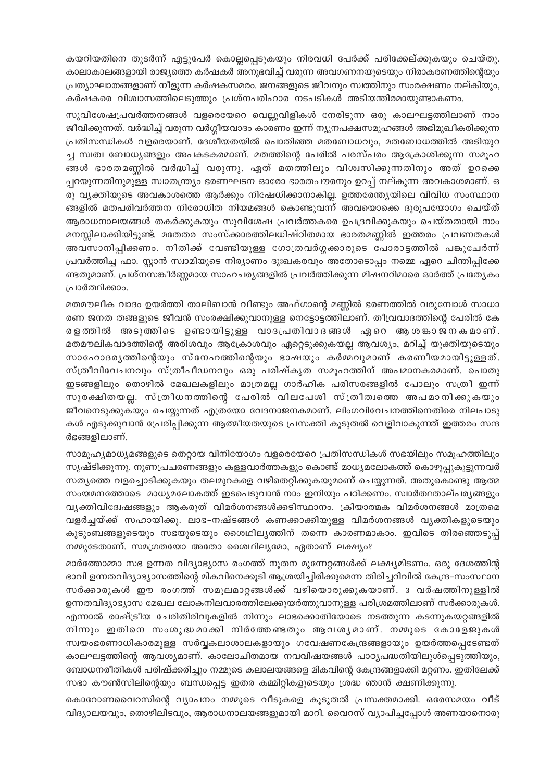കയറിയതിനെ തുടർന്ന് എട്ടുപേർ കൊല്ലപ്പെടുകയും നിരവധി പേർക്ക് പരിക്കേല്ക്കുകയും ചെയ്തു. കാലാകാലങ്ങളായി രാജ്യത്തെ കർഷകർ അനുഭവിച്ച് വരുന്ന അവഗണനയുടെയും നിരാകരണത്തിന്റെയും പ്രത്യാഘാതങ്ങളാണ് നീളുന്ന കർഷകസമരം. ജനങ്ങളുടെ ജീവനും സ്വത്തിനും സംരക്ഷണം നല്കിയും, കർഷകരെ വിശ്വാസത്തിലെടുത്തും പ്രശ്നപരിഹാര നടപടികൾ അടിയന്തിരമായുണ്ടാകണം.

സുവിശേഷപ്രവർത്തനങ്ങൾ വളരെയേറെ വെല്ലുവിളികൾ നേരിടുന്ന ഒരു കാലഘട്ടത്തിലാണ് നാം ജീവിക്കുന്നത്. വർദ്ധിച്ച് വരുന്ന വർഗ്ഗീയവാദം കാരണം ഇന്ന് ന്യൂനപക്ഷസമൂഹങ്ങൾ അഭിമുഖീകരിക്കുന്ന പ്രതിസന്ധികൾ വളരെയാണ്. ദേശീയതയിൽ പൊതിഞ്ഞ മതബോധവും, മതബോധത്തിൽ അടിയുറ ച്ച സ്വത്വ ബോധ്യങ്ങളും അപകടകരമാണ്. മതത്തിന്റെ പേരിൽ പരസ്പരം ആക്രോശിക്കുന്ന സമൂഹ ങ്ങൾ ഭാരതമണ്ണിൽ വർദ്ധിച്ച് വരുന്നു. ഏത് മതത്തിലും വിശ്വസിക്കുന്നതിനും അത് ഉറക്കെ പ്പറയുന്നതിനുമുള്ള സ്വാതന്ത്ര്യം ഭരണഘടന ഓരോ ഭാരതപൗരനും ഉറപ്പ് നല്കുന്ന അവകാശമാണ്. ഒ രു വ്യക്തിയുടെ അവകാശത്തെ ആർക്കും നിഷേധിക്കാനാകില്ല. ഉത്തരേന്ത്യയിലെ വിവിധ സംസ്ഥാന ങ്ങളിൽ മതപരിവർത്തന നിരോധിത നിയമങ്ങൾ കൊണ്ടുവന്ന് അവയൊക്കെ ദുരുപയോഗം ചെയ്ത് ആരാധനാലയങ്ങൾ തകർക്കുകയും സുവിശേഷ പ്രവർത്തകരെ ഉപദ്രവിക്കുകയും ചെയ്തതായി നാം മനസ്സിലാക്കിയിട്ടുണ്ട്. മതേതര സംസ്ക്കാരത്തിലധിഷ്ഠിതമായ ഭാരതമണ്ണിൽ ഇത്തരം പ്രവണതകൾ അവസാനിപ്പിക്കണം. നീതിക്ക് വേണ്ടിയുള്ള ഗോത്രവർഗ്ഗക്കാരുടെ പോരാട്ടത്തിൽ പങ്കുചേർന്ന് പ്രവർത്തിച്ച ഫാ. സ്റ്റാൻ സ്വാമിയുടെ നിര്യാണം ദുഃഖകരവും അതോടൊപ്പം നമ്മെ ഏറെ ചിന്തിപ്പിക്കേ ണ്ടതുമാണ്. പ്രശ്നസങ്കീർണ്ണമായ സാഹചര്യങ്ങളിൽ പ്രവർത്തിക്കുന്ന മിഷനറിമാരെ ഓർത്ത് പ്രത്യേകം പ്രാർത്ഥിക്കാം.

മതമൗലീക വാദം ഉയർത്തി താലിബാൻ വീണ്ടും അഫ്ഗാന്റെ മണ്ണിൽ ഭരണത്തിൽ വരുമ്പോൾ സാധാ രണ ജനത തങ്ങളുടെ ജീവൻ സംരക്ഷിക്കുവാനുള്ള നെട്ടോട്ടത്തിലാണ്. തീവ്രവാദത്തിന്റെ പേരിൽ കേ രളത്തിൽ അടുത്തിടെ ഉണ്ടായിട്ടുള്ള വാദപ്രതിവാദങ്ങൾ ഏറെ ആശങ്കാജനകമാണ്. മതമൗലികവാദത്തിന്റെ അരിശവും ആക്രോശവും ഏറ്റെടുക്കുകയല്ല ആവശ്യം, മറിച്ച് യുക്തിയുടെയും സാഹോദര്യത്തിന്റെയും സ്നേഹത്തിന്റെയും ഭാഷയും കർമ്മവുമാണ് കരണീയമായിട്ടുള്ളത്. സ്ത്രീവിവേചനവും സ്ത്രീപീഡനവും ഒരു പരിഷ്കൃത സമൂഹത്തിന് അപമാനകരമാണ്. പൊതു ഇടങ്ങളിലും തൊഴിൽ മേഖലകളിലും മാത്രമല്ല ഗാർഹിക പരിസരങ്ങളിൽ പോലും സത്രീ ഇന്ന് സുരക്ഷിതയല്ല. സ്ത്രീധനത്തിന്റെ പേരിൽ വിലപേശി സ്ത്രീത്വത്തെ അപമാനിക്കുകയും ജീവനെടുക്കുകയും ചെയ്യുന്നത് എത്രയോ വേദനാജനകമാണ്. ലിംഗവിവേചനത്തിനെതിരെ നിലപാടു കൾ എടുക്കുവാൻ പ്രേരിപ്പിക്കുന്ന ആത്മീയതയുടെ പ്രസക്തി കൂടുതൽ വെളിവാകുന്നത് ഇത്തരം സന്ദ ർഭങ്ങളിലാണ്.

സാമൂഹ്യമാധ്യമങ്ങളുടെ തെറ്റായ വിനിയോഗം വളരെയേറെ പ്രതിസന്ധികൾ സഭയിലും സമൂഹത്തിലും സൃഷ്ടിക്കുന്നു. നുണപ്രചരണങ്ങളും കള്ളവാർത്തകളും കൊണ്ട് മാധ്യമലോകത്ത് കൊഴുപ്പുകൂട്ടുന്നവർ സത്യത്തെ വളച്ചൊടിക്കുകയും തലമുറകളെ വഴിതെറ്റിക്കുകയുമാണ് ചെയ്യുന്നത്. അതുകൊണ്ടു ആത്മ സംയമനത്തോടെ മാധ്യമലോകത്ത് ഇടപെടുവാൻ നാം ഇനിയും പഠിക്കണം. സ്വാർത്ഥതാല്പര്യങ്ങളും വ്യക്തിവിദ്വേഷങ്ങളും ആകരുത് വിമർശനങ്ങൾക്കടിസ്ഥാനം. ക്രിയാത്മക വിമർശനങ്ങൾ മാത്രമെ വളർച്ചയ്ക്ക് സഹായിക്കൂ. ലാഭ-നഷ്ടങ്ങൾ കണക്കാക്കിയുള്ള വിമർശനങ്ങൾ വൃക്തികളുടെയും കുടുംബങ്ങളുടെയും സഭയുടെയും ശൈഥില്യത്തിന് തന്നെ കാരണമാകാം. ഇവിടെ തിരഞ്ഞെടുപ്പ് നമ്മുടേതാണ്. സമഗ്രതയോ അതോ ശൈഥില്യമോ, ഏതാണ് ലക്ഷ്യം?

മാർത്തോമ്മാ സഭ ഉന്നത വിദ്യാഭ്യാസ രംഗത്ത് നൂതന മുന്നേറ്റങ്ങൾക്ക് ലക്ഷ്യമിടണം. ഒരു ദേശത്തിന്റ ഭാവി ഉന്നതവിദ്യാഭ്യാസത്തിന്റെ മികവിനെക്കൂടി ആശ്രയിച്ചിരിക്കുമെന്ന തിരിച്ചറിവിൽ കേന്ദ്ര-സംസ്ഥാന സർക്കാരുകൾ ഈ രംഗത്ത് സമൂലമാറ്റങ്ങൾക്ക് വഴിയൊരുക്കുകയാണ്. 3 വർഷത്തിനുള്ളിൽ ഉന്നതവിദ്യാഭ്യാസ മേഖല ലോകനിലവാരത്തിലേക്കുയർത്തുവാനുള്ള പരിശ്രമത്തിലാണ് സർക്കാരുകൾ. എന്നാൽ രാഷ്ട്രീയ ചേരിതിരിവുകളിൽ നിന്നും ലാഭക്കൊതിയോടെ നടത്തുന്ന കടന്നുകയറ്റങ്ങളിൽ നിന്നും ഇതിനെ സംശുദ്ധമാക്കി നിർത്തേണ്ടതും ആവശൃമാണ്. നമ്മുടെ കോളേജുകൾ സ്വയംഭരണാധികാരമുള്ള സർവ്വകലാശാലകളായും ഗവേഷണകേന്ദ്രങ്ങളായും ഉയർത്തപ്പെടേണ്ടത് കാലഘട്ടത്തിന്റെ ആവശ്യമാണ്. കാലോചിതമായ നവവിഷയങ്ങൾ പാഠ്യപദ്ധതിയിലുൾപ്പെടുത്തിയും, ബോധനരീതികൾ പരിഷ്ക്കരിച്ചും നമ്മുടെ കലാലയങ്ങളെ മികവിന്റെ കേന്ദ്രങ്ങളാക്കി മറ്റണം. ഇതിലേക്ക് സഭാ കൗൺസിലിന്റെയും ബന്ധപ്പെട്ട ഇതര കമ്മിറ്റികളുടെയും ശ്രദ്ധ ഞാൻ ക്ഷണിക്കുന്നു.

കൊറോണവൈറസിന്റെ വ്യാപനം നമ്മുടെ വീടുകളെ കൂടുതൽ പ്രസക്തമാക്കി. ഒരേസമയം വീട് വിദ്യാലയവും, തൊഴിലിടവും, ആരാധനാലയങ്ങളുമായി മാറി. വൈറസ് വ്യാപിച്ചപ്പോൾ അണയാനൊരു